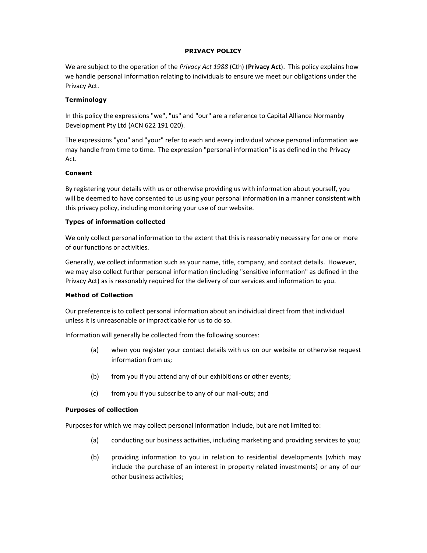#### PRIVACY POLICY

We are subject to the operation of the Privacy Act 1988 (Cth) (Privacy Act). This policy explains how we handle personal information relating to individuals to ensure we meet our obligations under the Privacy Act.

## **Terminology**

In this policy the expressions "we", "us" and "our" are a reference to Capital Alliance Normanby Development Pty Ltd (ACN 622 191 020).

The expressions "you" and "your" refer to each and every individual whose personal information we may handle from time to time. The expression "personal information" is as defined in the Privacy Act.

#### Consent

By registering your details with us or otherwise providing us with information about yourself, you will be deemed to have consented to us using your personal information in a manner consistent with this privacy policy, including monitoring your use of our website.

#### Types of information collected

We only collect personal information to the extent that this is reasonably necessary for one or more of our functions or activities.

Generally, we collect information such as your name, title, company, and contact details. However, we may also collect further personal information (including "sensitive information" as defined in the Privacy Act) as is reasonably required for the delivery of our services and information to you.

## Method of Collection

Our preference is to collect personal information about an individual direct from that individual unless it is unreasonable or impracticable for us to do so.

Information will generally be collected from the following sources:

- (a) when you register your contact details with us on our website or otherwise request information from us;
- (b) from you if you attend any of our exhibitions or other events;
- (c) from you if you subscribe to any of our mail-outs; and

#### Purposes of collection

Purposes for which we may collect personal information include, but are not limited to:

- (a) conducting our business activities, including marketing and providing services to you;
- (b) providing information to you in relation to residential developments (which may include the purchase of an interest in property related investments) or any of our other business activities;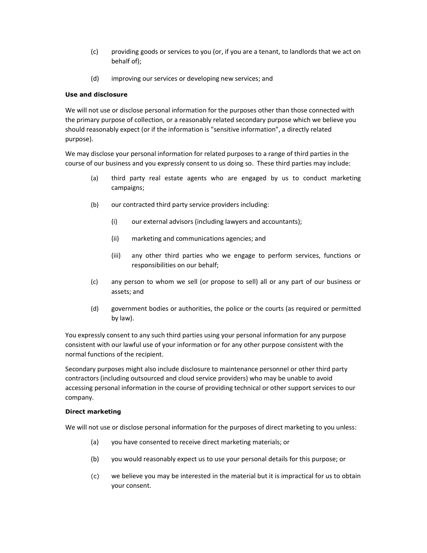- (c) providing goods or services to you (or, if you are a tenant, to landlords that we act on behalf of);
- (d) improving our services or developing new services; and

## Use and disclosure

We will not use or disclose personal information for the purposes other than those connected with the primary purpose of collection, or a reasonably related secondary purpose which we believe you should reasonably expect (or if the information is "sensitive information", a directly related purpose).

We may disclose your personal information for related purposes to a range of third parties in the course of our business and you expressly consent to us doing so. These third parties may include:

- (a) third party real estate agents who are engaged by us to conduct marketing campaigns;
- (b) our contracted third party service providers including:
	- (i) our external advisors (including lawyers and accountants);
	- (ii) marketing and communications agencies; and
	- (iii) any other third parties who we engage to perform services, functions or responsibilities on our behalf;
- (c) any person to whom we sell (or propose to sell) all or any part of our business or assets; and
- (d) government bodies or authorities, the police or the courts (as required or permitted by law).

You expressly consent to any such third parties using your personal information for any purpose consistent with our lawful use of your information or for any other purpose consistent with the normal functions of the recipient.

Secondary purposes might also include disclosure to maintenance personnel or other third party contractors (including outsourced and cloud service providers) who may be unable to avoid accessing personal information in the course of providing technical or other support services to our company.

## Direct marketing

We will not use or disclose personal information for the purposes of direct marketing to you unless:

- (a) you have consented to receive direct marketing materials; or
- (b) you would reasonably expect us to use your personal details for this purpose; or
- (c) we believe you may be interested in the material but it is impractical for us to obtain your consent.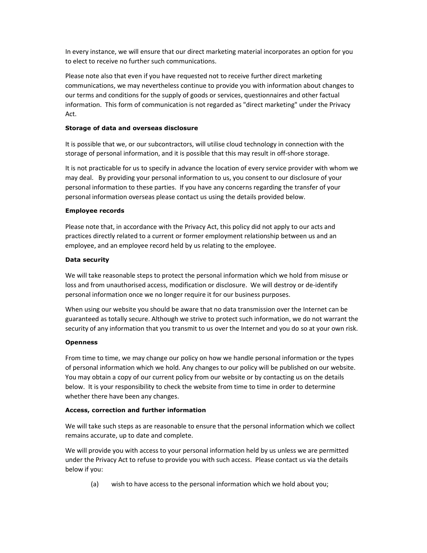In every instance, we will ensure that our direct marketing material incorporates an option for you to elect to receive no further such communications.

Please note also that even if you have requested not to receive further direct marketing communications, we may nevertheless continue to provide you with information about changes to our terms and conditions for the supply of goods or services, questionnaires and other factual information. This form of communication is not regarded as "direct marketing" under the Privacy Act.

#### Storage of data and overseas disclosure

It is possible that we, or our subcontractors, will utilise cloud technology in connection with the storage of personal information, and it is possible that this may result in off-shore storage.

It is not practicable for us to specify in advance the location of every service provider with whom we may deal. By providing your personal information to us, you consent to our disclosure of your personal information to these parties. If you have any concerns regarding the transfer of your personal information overseas please contact us using the details provided below.

## Employee records

Please note that, in accordance with the Privacy Act, this policy did not apply to our acts and practices directly related to a current or former employment relationship between us and an employee, and an employee record held by us relating to the employee.

## Data security

We will take reasonable steps to protect the personal information which we hold from misuse or loss and from unauthorised access, modification or disclosure. We will destroy or de-identify personal information once we no longer require it for our business purposes.

When using our website you should be aware that no data transmission over the Internet can be guaranteed as totally secure. Although we strive to protect such information, we do not warrant the security of any information that you transmit to us over the Internet and you do so at your own risk.

## **Openness**

From time to time, we may change our policy on how we handle personal information or the types of personal information which we hold. Any changes to our policy will be published on our website. You may obtain a copy of our current policy from our website or by contacting us on the details below. It is your responsibility to check the website from time to time in order to determine whether there have been any changes.

## Access, correction and further information

We will take such steps as are reasonable to ensure that the personal information which we collect remains accurate, up to date and complete.

We will provide you with access to your personal information held by us unless we are permitted under the Privacy Act to refuse to provide you with such access. Please contact us via the details below if you:

(a) wish to have access to the personal information which we hold about you;